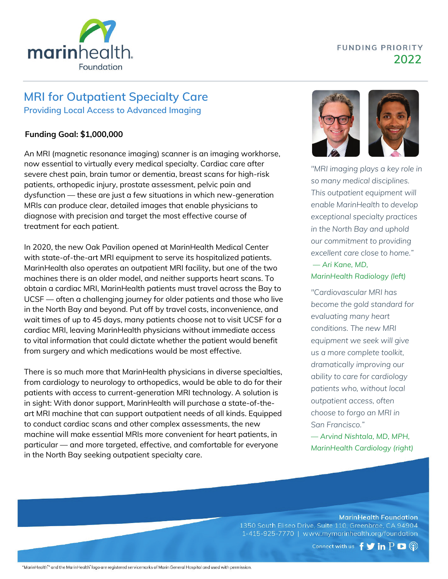

## **FUNDING PRIORITY 2022**

# **MRI for Outpatient Specialty Care**

**Providing Local Access to Advanced Imaging**

### **Funding Goal: \$1,000,000**

An MRI (magnetic resonance imaging) scanner is an imaging workhorse, now essential to virtually every medical specialty. Cardiac care after severe chest pain, brain tumor or dementia, breast scans for high-risk patients, orthopedic injury, prostate assessment, pelvic pain and dysfunction — these are just a few situations in which new-generation MRIs can produce clear, detailed images that enable physicians to diagnose with precision and target the most effective course of treatment for each patient.

In 2020, the new Oak Pavilion opened at MarinHealth Medical Center with state-of-the-art MRI equipment to serve its hospitalized patients. MarinHealth also operates an outpatient MRI facility, but one of the two machines there is an older model, and neither supports heart scans. To obtain a cardiac MRI, MarinHealth patients must travel across the Bay to UCSF — often a challenging journey for older patients and those who live in the North Bay and beyond. Put off by travel costs, inconvenience, and wait times of up to 45 days, many patients choose not to visit UCSF for a cardiac MRI, leaving MarinHealth physicians without immediate access to vital information that could dictate whether the patient would benefit from surgery and which medications would be most effective.

There is so much more that MarinHealth physicians in diverse specialties, from cardiology to neurology to orthopedics, would be able to do for their patients with access to current-generation MRI technology. A solution is in sight: With donor support, MarinHealth will purchase a state-of-theart MRI machine that can support outpatient needs of all kinds. Equipped to conduct cardiac scans and other complex assessments, the new machine will make essential MRIs more convenient for heart patients, in particular — and more targeted, effective, and comfortable for everyone in the North Bay seeking outpatient specialty care.



*"MRI imaging plays a key role in so many medical disciplines. This outpatient equipment will enable MarinHealth to develop exceptional specialty practices in the North Bay and uphold our commitment to providing excellent care close to home."*

### *— Ari Kane, MD, MarinHealth Radiology (left)*

*"Cardiovascular MRI has become the gold standard for evaluating many heart conditions. The new MRI equipment we seek will give us a more complete toolkit, dramatically improving our ability to care for cardiology patients who, without local outpatient access, often choose to forgo an MRI in San Francisco."*

*— Arvind Nishtala, MD, MPH, MarinHealth Cardiology (right)*

**MarinHealth Foundation** 

1350 South Eliseo Drive, Suite 110, Greenbrae, CA 94904 1-415-925-7770 | www.mymarinhealth.org/foundation

Connect with us  $f \blacktriangleright in P \blacktriangleright \textcircled{?}$